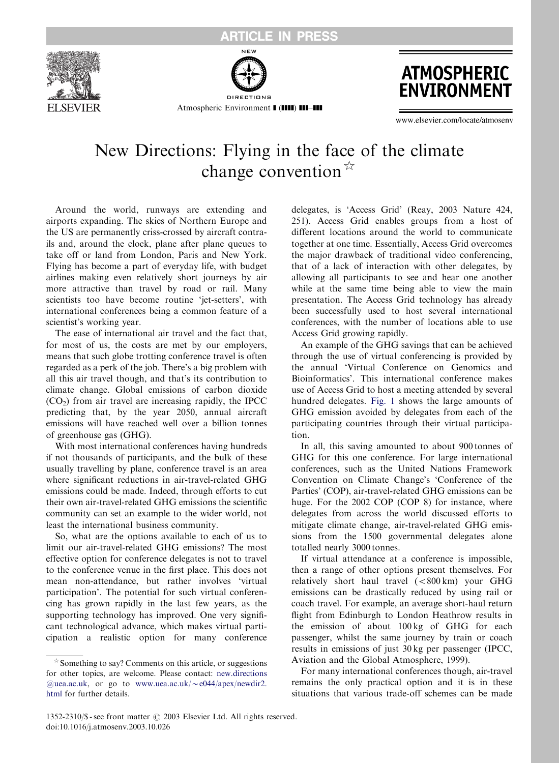

Atmospheric Environment **1 (1111) 111-111** 



www.elsevier.com/locate/atmoseny

## New Directions: Flying in the face of the climate change convention  $\mathbb{R}$

Around the world, runways are extending and airports expanding. The skies of Northern Europe and the US are permanently criss-crossed by aircraft contrails and, around the clock, plane after plane queues to take off or land from London, Paris and New York. Flying has become a part of everyday life, with budget airlines making even relatively short journeys by air more attractive than travel by road or rail. Many scientists too have become routine 'jet-setters', with international conferences being a common feature of a scientist's working year.

The ease of international air travel and the fact that, for most of us, the costs are met by our employers, means that such globe trotting conference travel is often regarded as a perk of the job.There's a big problem with all this air travel though, and that's its contribution to climate change. Global emissions of carbon dioxide  $(CO<sub>2</sub>)$  from air travel are increasing rapidly, the IPCC predicting that, by the year 2050, annual aircraft emissions will have reached well over a billion tonnes of greenhouse gas (GHG).

With most international conferences having hundreds if not thousands of participants, and the bulk of these usually travelling by plane, conference travel is an area where significant reductions in air-travel-related GHG emissions could be made.Indeed, through efforts to cut their own air-travel-related GHG emissions the scientific community can set an example to the wider world, not least the international business community.

So, what are the options available to each of us to limit our air-travel-related GHG emissions? The most effective option for conference delegates is not to travel to the conference venue in the first place.This does not mean non-attendance, but rather involves 'virtual participation'. The potential for such virtual conferencing has grown rapidly in the last few years, as the supporting technology has improved. One very significant technological advance, which makes virtual participation a realistic option for many conference delegates, is 'Access Grid' (Reay, 2003 Nature 424, 251).Access Grid enables groups from a host of different locations around the world to communicate together at one time.Essentially, Access Grid overcomes the major drawback of traditional video conferencing, that of a lack of interaction with other delegates, by allowing all participants to see and hear one another while at the same time being able to view the main presentation.The Access Grid technology has already been successfully used to host several international conferences, with the number of locations able to use Access Grid growing rapidly.

An example of the GHG savings that can be achieved through the use of virtual conferencing is provided by the annual 'Virtual Conference on Genomics and Bioinformatics'. This international conference makes use of Access Grid to host a meeting attended by several hundred delegates. [Fig.1](#page-1-0) shows the large amounts of GHG emission avoided by delegates from each of the participating countries through their virtual participation.

In all, this saving amounted to about 900 tonnes of GHG for this one conference. For large international conferences, such as the United Nations Framework Convention on Climate Change's 'Conference of the Parties' (COP), air-travel-related GHG emissions can be huge. For the 2002 COP (COP 8) for instance, where delegates from across the world discussed efforts to mitigate climate change, air-travel-related GHG emissions from the 1500 governmental delegates alone totalled nearly 3000 tonnes.

If virtual attendance at a conference is impossible, then a range of other options present themselves.For relatively short haul travel  $(<800 \text{ km})$  your GHG emissions can be drastically reduced by using rail or coach travel.For example, an average short-haul return flight from Edinburgh to London Heathrow results in the emission of about 100 kg of GHG for each passenger, whilst the same journey by train or coach results in emissions of just 30 kg per passenger (IPCC, Aviation and the Global Atmosphere, 1999).

For many international conferences though, air-travel remains the only practical option and it is in these situations that various trade-off schemes can be made

 $\star$  Something to say? Comments on this article, or suggestions for other topics, are welcome. Please contact: [new.directions](mailto:new.directions@uea.ac.uk) [@uea.ac.uk](mailto:new.directions@uea.ac.uk), or go to www.uea.ac.uk/ $\sim$ [e044/apex/newdir2.](http://www.uea.ac.uk/~e044/apex/newdir2.html) [html](http://www.uea.ac.uk/~e044/apex/newdir2.html) for further details.

<sup>1352-2310/\$ -</sup> see front matter  $\odot$  2003 Elsevier Ltd. All rights reserved. doi:10.1016/j.atmosenv.2003.10.026